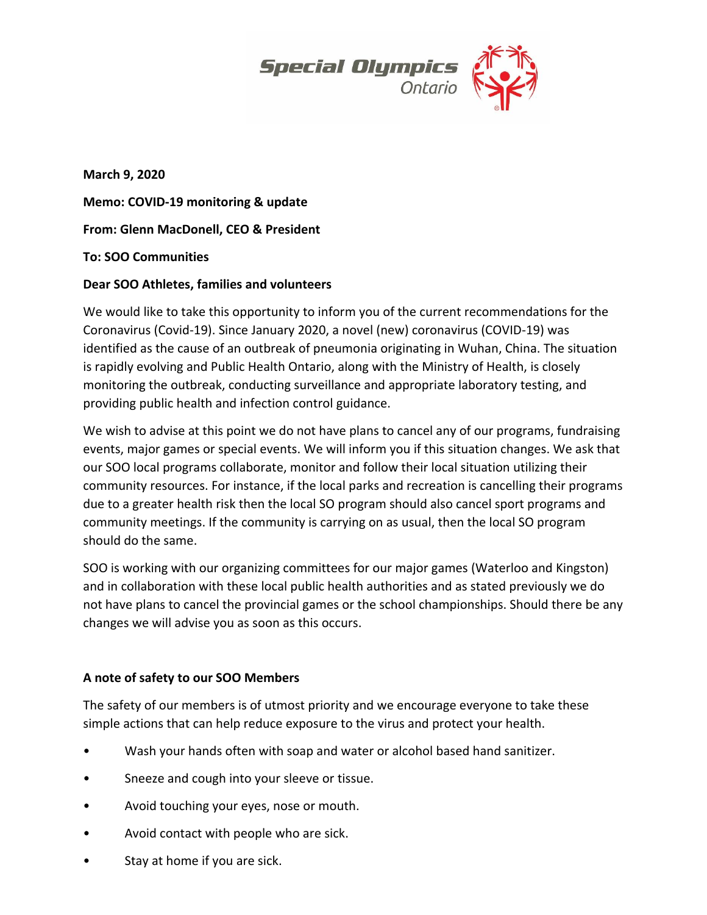

**March 9, 2020 Memo: COVID-19 monitoring & update From: Glenn MacDonell, CEO & President To: SOO Communities** 

### **Dear SOO Athletes, families and volunteers**

We would like to take this opportunity to inform you of the current recommendations for the Coronavirus (Covid-19). Since January 2020, a novel (new) coronavirus (COVID-19) was identified as the cause of an outbreak of pneumonia originating in Wuhan, China. The situation is rapidly evolving and Public Health Ontario, along with the Ministry of Health, is closely monitoring the outbreak, conducting surveillance and appropriate laboratory testing, and providing public health and infection control guidance.

We wish to advise at this point we do not have plans to cancel any of our programs, fundraising events, major games or special events. We will inform you if this situation changes. We ask that our SOO local programs collaborate, monitor and follow their local situation utilizing their community resources. For instance, if the local parks and recreation is cancelling their programs due to a greater health risk then the local SO program should also cancel sport programs and community meetings. If the community is carrying on as usual, then the local SO program should do the same.

SOO is working with our organizing committees for our major games (Waterloo and Kingston) and in collaboration with these local public health authorities and as stated previously we do not have plans to cancel the provincial games or the school championships. Should there be any changes we will advise you as soon as this occurs.

# **A note of safety to our SOO Members**

The safety of our members is of utmost priority and we encourage everyone to take these simple actions that can help reduce exposure to the virus and protect your health.

- Wash your hands often with soap and water or alcohol based hand sanitizer.
- Sneeze and cough into your sleeve or tissue.
- Avoid touching your eyes, nose or mouth.
- Avoid contact with people who are sick.
- Stay at home if you are sick.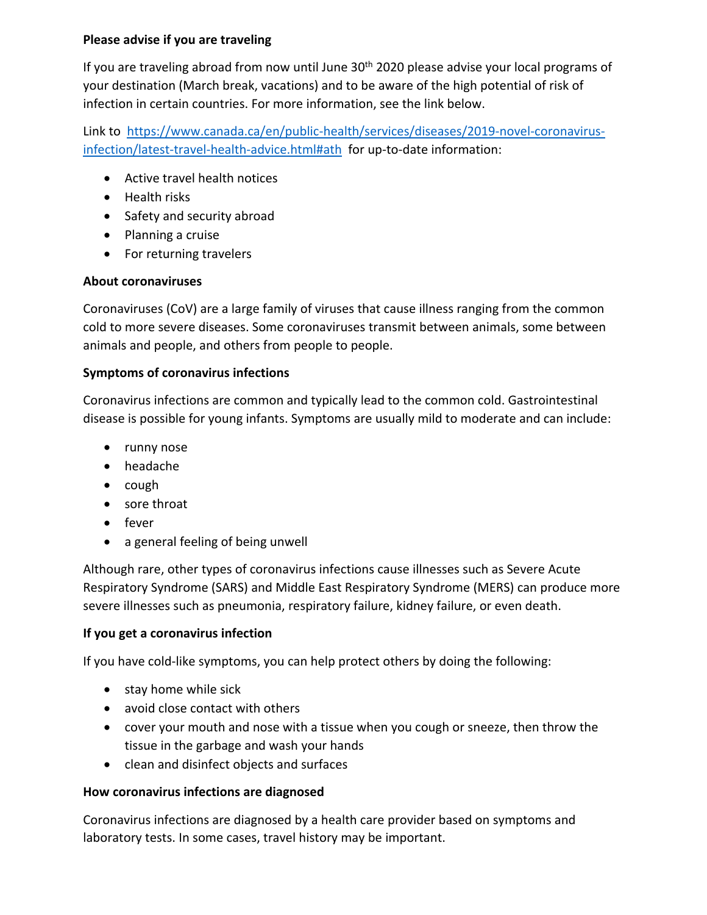### **Please advise if you are traveling**

If you are traveling abroad from now until June  $30<sup>th</sup>$  2020 please advise your local programs of your destination (March break, vacations) and to be aware of the high potential of risk of infection in certain countries. For more information, see the link below.

Link to [https://www.canada.ca/en/public-health/services/diseases/2019-novel-coronavirus](https://www.canada.ca/en/public-health/services/diseases/2019-novel-coronavirus-infection/latest-travel-health-advice.html#ath)[infection/latest-travel-health-advice.html#ath](https://www.canada.ca/en/public-health/services/diseases/2019-novel-coronavirus-infection/latest-travel-health-advice.html#ath) for up-to-date information:

- Active travel health notices
- Health risks
- Safety and security abroad
- Planning a cruise
- For returning travelers

### **About coronaviruses**

Coronaviruses (CoV) are a large family of viruses that cause illness ranging from the common cold to more severe diseases. Some coronaviruses transmit between animals, some between animals and people, and others from people to people.

# **Symptoms of coronavirus infections**

Coronavirus infections are common and typically lead to the common cold. Gastrointestinal disease is possible for young infants. Symptoms are usually mild to moderate and can include:

- runny nose
- headache
- $\bullet$  cough
- sore throat
- fever
- a general feeling of being unwell

Although rare, other types of coronavirus infections cause illnesses such as Severe Acute Respiratory Syndrome (SARS) and Middle East Respiratory Syndrome (MERS) can produce more severe illnesses such as pneumonia, respiratory failure, kidney failure, or even death.

# **If you get a coronavirus infection**

If you have cold-like symptoms, you can help protect others by doing the following:

- stay home while sick
- avoid close contact with others
- cover your mouth and nose with a tissue when you cough or sneeze, then throw the tissue in the garbage and wash your hands
- clean and disinfect objects and surfaces

# **How coronavirus infections are diagnosed**

Coronavirus infections are diagnosed by a health care provider based on symptoms and laboratory tests. In some cases, travel history may be important.